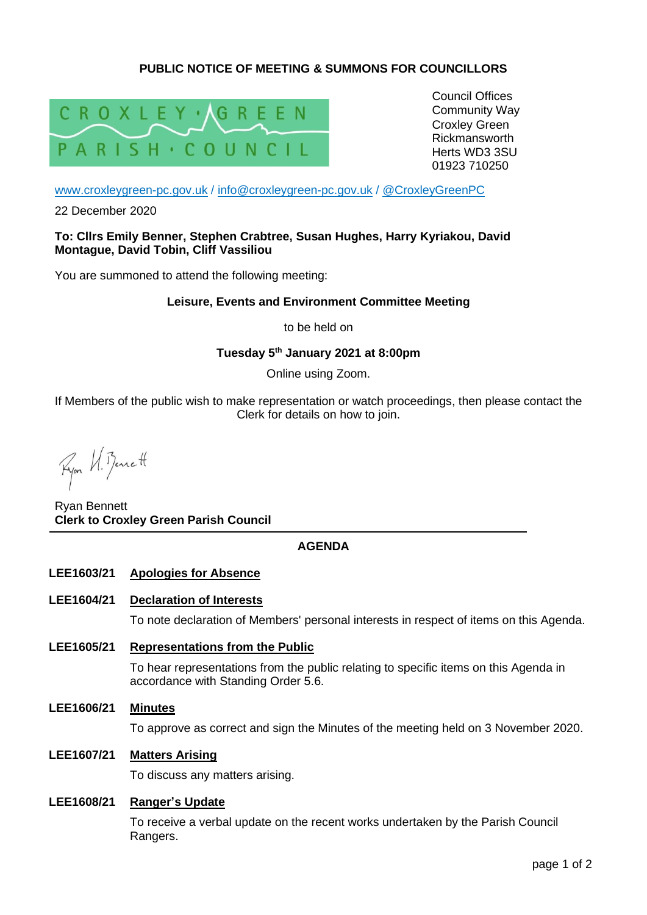# **PUBLIC NOTICE OF MEETING & SUMMONS FOR COUNCILLORS**



Council Offices Community Way Croxley Green Rickmansworth Herts WD3 3SU 01923 710250

[www.croxleygreen-pc.gov.uk](http://www.croxleygreen-pc.gov.uk/) / [info@croxleygreen-pc.gov.uk](mailto:info@croxleygreen-pc.gov.uk) / [@CroxleyGreenPC](https://twitter.com/CroxleyGreenPC)

22 December 2020

**To: Cllrs Emily Benner, Stephen Crabtree, Susan Hughes, Harry Kyriakou, David Montague, David Tobin, Cliff Vassiliou**

You are summoned to attend the following meeting:

## **Leisure, Events and Environment Committee Meeting**

to be held on

# **Tuesday 5 th January 2021 at 8:00pm**

Online using Zoom.

If Members of the public wish to make representation or watch proceedings, then please contact the Clerk for details on how to join.

Ryon VI. Bennett

Ryan Bennett **Clerk to Croxley Green Parish Council**

## **AGENDA**

### **LEE1603/21 Apologies for Absence**

### **LEE1604/21 Declaration of Interests**

To note declaration of Members' personal interests in respect of items on this Agenda.

**LEE1605/21 Representations from the Public**

To hear representations from the public relating to specific items on this Agenda in accordance with Standing Order 5.6.

**LEE1606/21 Minutes**

To approve as correct and sign the Minutes of the meeting held on 3 November 2020.

**LEE1607/21 Matters Arising**

To discuss any matters arising.

### **LEE1608/21 Ranger's Update**

To receive a verbal update on the recent works undertaken by the Parish Council Rangers.